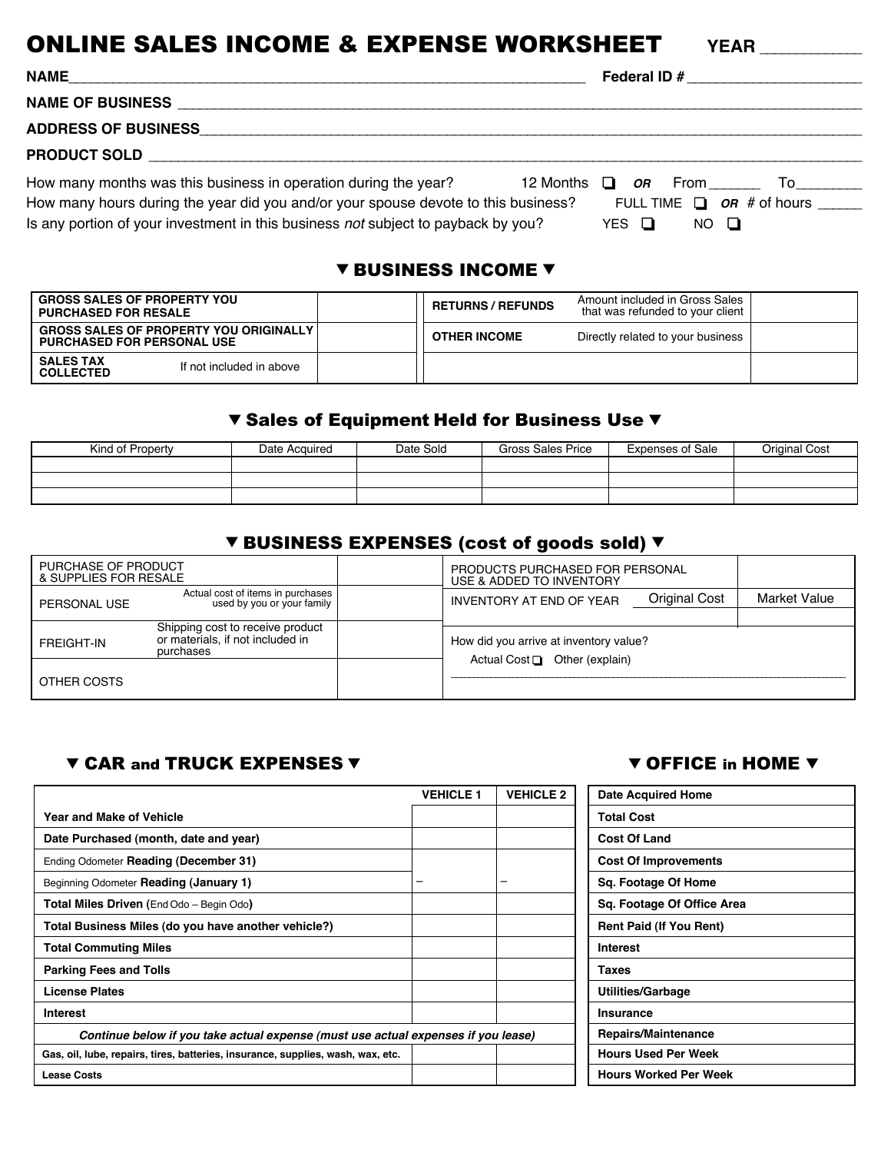# **ONLINE SALES INCOME & EXPENSE WORKSHEET** YEAR

**NAME**\_\_\_\_\_\_\_\_\_\_\_\_\_\_\_\_\_\_\_\_\_\_\_\_\_\_\_\_\_\_\_\_\_\_\_\_\_\_\_\_\_\_\_\_\_\_\_\_\_\_\_\_\_\_\_\_\_\_\_\_\_\_\_\_\_\_\_\_\_\_\_ **Federal ID #** \_\_\_\_\_\_\_\_\_\_\_\_\_\_\_\_\_\_\_\_\_\_\_\_

**NAME OF BUSINESS** \_\_\_\_\_\_\_\_\_\_\_\_\_\_\_\_\_\_\_\_\_\_\_\_\_\_\_\_\_\_\_\_\_\_\_\_\_\_\_\_\_\_\_\_\_\_\_\_\_\_\_\_\_\_\_\_\_\_\_\_\_\_\_\_\_\_\_\_\_\_\_\_\_\_\_\_\_\_\_\_\_\_\_\_\_\_\_\_\_\_\_\_\_\_

**ADDRESS OF BUSINESS**\_\_\_\_\_\_\_\_\_\_\_\_\_\_\_\_\_\_\_\_\_\_\_\_\_\_\_\_\_\_\_\_\_\_\_\_\_\_\_\_\_\_\_\_\_\_\_\_\_\_\_\_\_\_\_\_\_\_\_\_\_\_\_\_\_\_\_\_\_\_\_\_\_\_\_\_\_\_\_\_\_\_\_\_\_\_\_\_\_\_\_

**PRODUCT SOLD** \_\_\_\_\_\_\_\_\_\_\_\_\_\_\_\_\_\_\_\_\_\_\_\_\_\_\_\_\_\_\_\_\_\_\_\_\_\_\_\_\_\_\_\_\_\_\_\_\_\_\_\_\_\_\_\_\_\_\_\_\_\_\_\_\_\_\_\_\_\_\_\_\_\_\_\_\_\_\_\_\_\_\_\_\_\_\_\_\_\_\_\_\_\_\_\_\_\_

How many months was this business in operation during the year? 12 Months **□** *OR* From \_\_\_\_\_\_ To\_\_\_\_\_\_\_\_ How many hours during the year did you and/or your spouse devote to this business? FULL TIME **□ OR** # of hours \_\_\_\_\_ Is any portion of your investment in this business not subject to payback by you? YES  $\Box$  NO  $\Box$ 

#### **V BUSINESS INCOME V**

| <b>GROSS SALES OF PROPERTY YOU</b><br><b>PURCHASED FOR RESALE</b>                  |                          | <b>RETURNS / REFUNDS</b> | Amount included in Gross Sales<br>that was refunded to your client |  |  |
|------------------------------------------------------------------------------------|--------------------------|--------------------------|--------------------------------------------------------------------|--|--|
| <b>GROSS SALES OF PROPERTY YOU ORIGINALLY</b><br><b>PURCHASED FOR PERSONAL USE</b> |                          | <b>OTHER INCOME</b>      | Directly related to your business                                  |  |  |
| <b>SALES TAX</b><br><b>COLLECTED</b>                                               | If not included in above |                          |                                                                    |  |  |

#### V Sales of Equipment Held for Business Use V

| Kind of Property | Date Acquired | Date Sold | Gross Sales Price | <b>Expenses of Sale</b> | Original Cost |
|------------------|---------------|-----------|-------------------|-------------------------|---------------|
|                  |               |           |                   |                         |               |
|                  |               |           |                   |                         |               |
|                  |               |           |                   |                         |               |

## ▼ BUSINESS EXPENSES (cost of goods sold) ▼

| PURCHASE OF PRODUCT<br>& SUPPLIES FOR RESALE                                                           |  |  | PRODUCTS PURCHASED FOR PERSONAL<br>USE & ADDED TO INVENTORY |  |              |  |
|--------------------------------------------------------------------------------------------------------|--|--|-------------------------------------------------------------|--|--------------|--|
| Actual cost of items in purchases<br>used by you or your family<br>PERSONAL USE                        |  |  | <b>Original Cost</b><br><b>INVENTORY AT END OF YEAR</b>     |  | Market Value |  |
|                                                                                                        |  |  |                                                             |  |              |  |
| Shipping cost to receive product<br>or materials, if not included in<br><b>FREIGHT-IN</b><br>purchases |  |  | How did you arrive at inventory value?                      |  |              |  |
|                                                                                                        |  |  | Actual Cost $\Box$ Other (explain)                          |  |              |  |
| OTHER COSTS                                                                                            |  |  |                                                             |  |              |  |

### **V CAR and TRUCK EXPENSES V CAR AND V OFFICE in HOME V**

|                                                                                   | <b>VEHICLE 1</b> | <b>VEHICLE 2</b> | <b>Date Acquired Home</b>      |
|-----------------------------------------------------------------------------------|------------------|------------------|--------------------------------|
| <b>Year and Make of Vehicle</b>                                                   |                  |                  | <b>Total Cost</b>              |
| Date Purchased (month, date and year)                                             |                  |                  | <b>Cost Of Land</b>            |
| Ending Odometer Reading (December 31)                                             |                  |                  | <b>Cost Of Improvements</b>    |
| Beginning Odometer Reading (January 1)                                            | -                | -                | Sq. Footage Of Home            |
| Total Miles Driven (End Odo - Begin Odo)                                          |                  |                  | Sq. Footage Of Office Area     |
| Total Business Miles (do you have another vehicle?)                               |                  |                  | <b>Rent Paid (If You Rent)</b> |
| <b>Total Commuting Miles</b>                                                      |                  |                  | <b>Interest</b>                |
| <b>Parking Fees and Tolls</b>                                                     |                  |                  | Taxes                          |
| <b>License Plates</b>                                                             |                  |                  | <b>Utilities/Garbage</b>       |
| Interest                                                                          |                  |                  | Insurance                      |
| Continue below if you take actual expense (must use actual expenses if you lease) |                  |                  | Repairs/Maintenance            |
| Gas, oil, lube, repairs, tires, batteries, insurance, supplies, wash, wax, etc.   |                  |                  | <b>Hours Used Per Week</b>     |
| <b>Lease Costs</b>                                                                |                  |                  | <b>Hours Worked Per Week</b>   |

| <b>Date Acquired Home</b>      |
|--------------------------------|
| <b>Total Cost</b>              |
| <b>Cost Of Land</b>            |
| <b>Cost Of Improvements</b>    |
| Sq. Footage Of Home            |
| Sg. Footage Of Office Area     |
| <b>Rent Paid (If You Rent)</b> |
| <b>Interest</b>                |
| Taxes                          |
| Utilities/Garbage              |
| Insurance                      |
| <b>Repairs/Maintenance</b>     |
| <b>Hours Used Per Week</b>     |
| <b>Hours Worked Per Week</b>   |